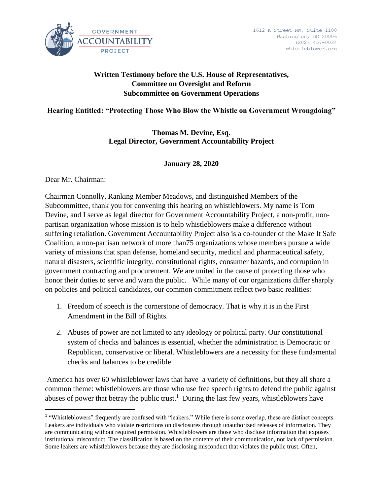

# **Written Testimony before the U.S. House of Representatives, Committee on Oversight and Reform Subcommittee on Government Operations**

## **Hearing Entitled: "Protecting Those Who Blow the Whistle on Government Wrongdoing"**

**Thomas M. Devine, Esq. Legal Director, Government Accountability Project**

### **January 28, 2020**

Dear Mr. Chairman:

 $\overline{a}$ 

Chairman Connolly, Ranking Member Meadows, and distinguished Members of the Subcommittee, thank you for convening this hearing on whistleblowers. My name is Tom Devine, and I serve as legal director for Government Accountability Project, a non-profit, nonpartisan organization whose mission is to help whistleblowers make a difference without suffering retaliation. Government Accountability Project also is a co-founder of the Make It Safe Coalition, a non-partisan network of more than75 organizations whose members pursue a wide variety of missions that span defense, homeland security, medical and pharmaceutical safety, natural disasters, scientific integrity, constitutional rights, consumer hazards, and corruption in government contracting and procurement. We are united in the cause of protecting those who honor their duties to serve and warn the public. While many of our organizations differ sharply on policies and political candidates, our common commitment reflect two basic realities:

- 1. Freedom of speech is the cornerstone of democracy. That is why it is in the First Amendment in the Bill of Rights.
- 2. Abuses of power are not limited to any ideology or political party. Our constitutional system of checks and balances is essential, whether the administration is Democratic or Republican, conservative or liberal. Whistleblowers are a necessity for these fundamental checks and balances to be credible.

America has over 60 whistleblower laws that have a variety of definitions, but they all share a common theme: whistleblowers are those who use free speech rights to defend the public against abuses of power that betray the public trust.<sup>1</sup> During the last few years, whistleblowers have

<sup>&</sup>lt;sup>1</sup> "Whistleblowers" frequently are confused with "leakers." While there is some overlap, these are distinct concepts. Leakers are individuals who violate restrictions on disclosures through unauthorized releases of information. They are communicating without required permission. Whistleblowers are those who disclose information that exposes institutional misconduct. The classification is based on the contents of their communication, not lack of permission. Some leakers are whistleblowers because they are disclosing misconduct that violates the public trust. Often,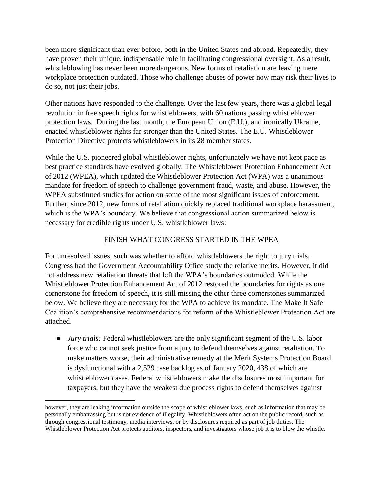been more significant than ever before, both in the United States and abroad. Repeatedly, they have proven their unique, indispensable role in facilitating congressional oversight. As a result, whistleblowing has never been more dangerous. New forms of retaliation are leaving mere workplace protection outdated. Those who challenge abuses of power now may risk their lives to do so, not just their jobs.

Other nations have responded to the challenge. Over the last few years, there was a global legal revolution in free speech rights for whistleblowers, with 60 nations passing whistleblower protection laws. During the last month, the European Union (E.U.), and ironically Ukraine, enacted whistleblower rights far stronger than the United States. The E.U. Whistleblower Protection Directive protects whistleblowers in its 28 member states.

While the U.S. pioneered global whistleblower rights, unfortunately we have not kept pace as best practice standards have evolved globally. The Whistleblower Protection Enhancement Act of 2012 (WPEA), which updated the Whistleblower Protection Act (WPA) was a unanimous mandate for freedom of speech to challenge government fraud, waste, and abuse. However, the WPEA substituted studies for action on some of the most significant issues of enforcement. Further, since 2012, new forms of retaliation quickly replaced traditional workplace harassment, which is the WPA's boundary. We believe that congressional action summarized below is necessary for credible rights under U.S. whistleblower laws:

# FINISH WHAT CONGRESS STARTED IN THE WPEA

For unresolved issues, such was whether to afford whistleblowers the right to jury trials, Congress had the Government Accountability Office study the relative merits. However, it did not address new retaliation threats that left the WPA's boundaries outmoded. While the Whistleblower Protection Enhancement Act of 2012 restored the boundaries for rights as one cornerstone for freedom of speech, it is still missing the other three cornerstones summarized below. We believe they are necessary for the WPA to achieve its mandate. The Make It Safe Coalition's comprehensive recommendations for reform of the Whistleblower Protection Act are attached.

● *Jury trials:* Federal whistleblowers are the only significant segment of the U.S. labor force who cannot seek justice from a jury to defend themselves against retaliation. To make matters worse, their administrative remedy at the Merit Systems Protection Board is dysfunctional with a 2,529 case backlog as of January 2020, 438 of which are whistleblower cases. Federal whistleblowers make the disclosures most important for taxpayers, but they have the weakest due process rights to defend themselves against

 $\overline{\phantom{a}}$ 

however, they are leaking information outside the scope of whistleblower laws, such as information that may be personally embarrassing but is not evidence of illegality. Whistleblowers often act on the public record, such as through congressional testimony, media interviews, or by disclosures required as part of job duties. The Whistleblower Protection Act protects auditors, inspectors, and investigators whose job it is to blow the whistle.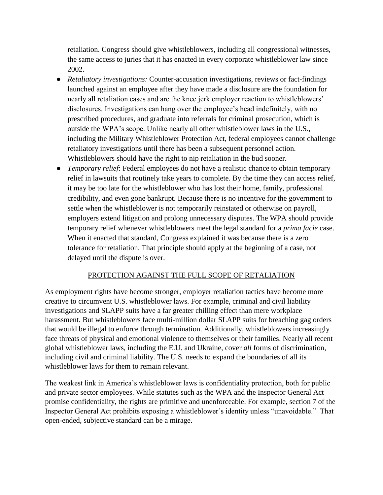retaliation. Congress should give whistleblowers, including all congressional witnesses, the same access to juries that it has enacted in every corporate whistleblower law since 2002.

- *Retaliatory investigations:* Counter-accusation investigations, reviews or fact-findings launched against an employee after they have made a disclosure are the foundation for nearly all retaliation cases and are the knee jerk employer reaction to whistleblowers' disclosures. Investigations can hang over the employee's head indefinitely, with no prescribed procedures, and graduate into referrals for criminal prosecution, which is outside the WPA's scope. Unlike nearly all other whistleblower laws in the U.S., including the Military Whistleblower Protection Act, federal employees cannot challenge retaliatory investigations until there has been a subsequent personnel action. Whistleblowers should have the right to nip retaliation in the bud sooner.
- *Temporary relief*: Federal employees do not have a realistic chance to obtain temporary relief in lawsuits that routinely take years to complete. By the time they can access relief, it may be too late for the whistleblower who has lost their home, family, professional credibility, and even gone bankrupt. Because there is no incentive for the government to settle when the whistleblower is not temporarily reinstated or otherwise on payroll, employers extend litigation and prolong unnecessary disputes. The WPA should provide temporary relief whenever whistleblowers meet the legal standard for a *prima facie* case. When it enacted that standard, Congress explained it was because there is a zero tolerance for retaliation. That principle should apply at the beginning of a case, not delayed until the dispute is over.

### PROTECTION AGAINST THE FULL SCOPE OF RETALIATION

As employment rights have become stronger, employer retaliation tactics have become more creative to circumvent U.S. whistleblower laws. For example, criminal and civil liability investigations and SLAPP suits have a far greater chilling effect than mere workplace harassment. But whistleblowers face multi-million dollar SLAPP suits for breaching gag orders that would be illegal to enforce through termination. Additionally, whistleblowers increasingly face threats of physical and emotional violence to themselves or their families. Nearly all recent global whistleblower laws, including the E.U. and Ukraine, cover *all* forms of discrimination, including civil and criminal liability. The U.S. needs to expand the boundaries of all its whistleblower laws for them to remain relevant.

The weakest link in America's whistleblower laws is confidentiality protection, both for public and private sector employees. While statutes such as the WPA and the Inspector General Act promise confidentiality, the rights are primitive and unenforceable. For example, section 7 of the Inspector General Act prohibits exposing a whistleblower's identity unless "unavoidable." That open-ended, subjective standard can be a mirage.